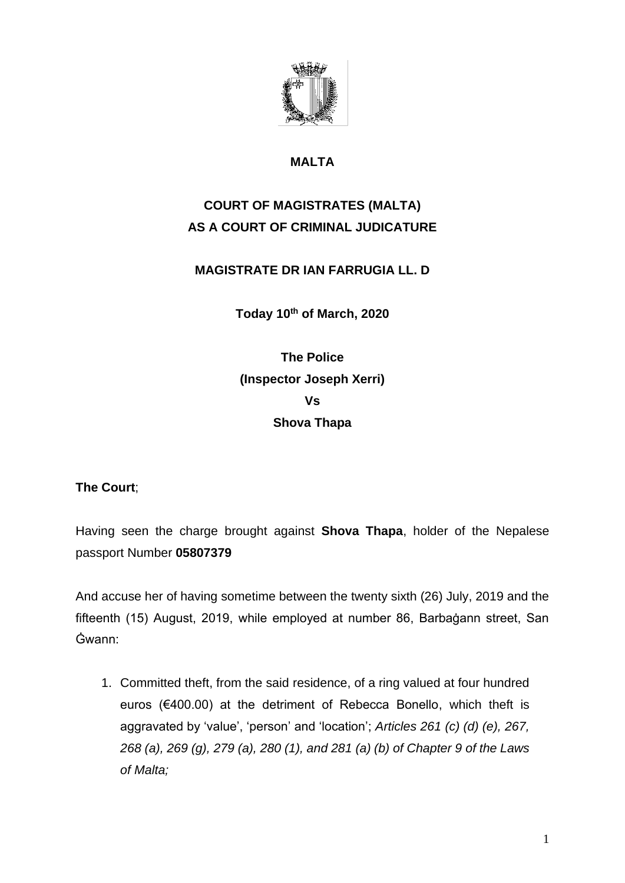

## **MALTA**

# **COURT OF MAGISTRATES (MALTA) AS A COURT OF CRIMINAL JUDICATURE**

## **MAGISTRATE DR IAN FARRUGIA LL. D**

**Today 10th of March, 2020**

**The Police (Inspector Joseph Xerri) Vs Shova Thapa**

#### **The Court**;

Having seen the charge brought against **Shova Thapa**, holder of the Nepalese passport Number **05807379**

And accuse her of having sometime between the twenty sixth (26) July, 2019 and the fifteenth (15) August, 2019, while employed at number 86, Barbaġann street, San Ġwann:

1. Committed theft, from the said residence, of a ring valued at four hundred euros (€400.00) at the detriment of Rebecca Bonello, which theft is aggravated by 'value', 'person' and 'location'; *Articles 261 (c) (d) (e), 267, 268 (a), 269 (g), 279 (a), 280 (1), and 281 (a) (b) of Chapter 9 of the Laws of Malta;*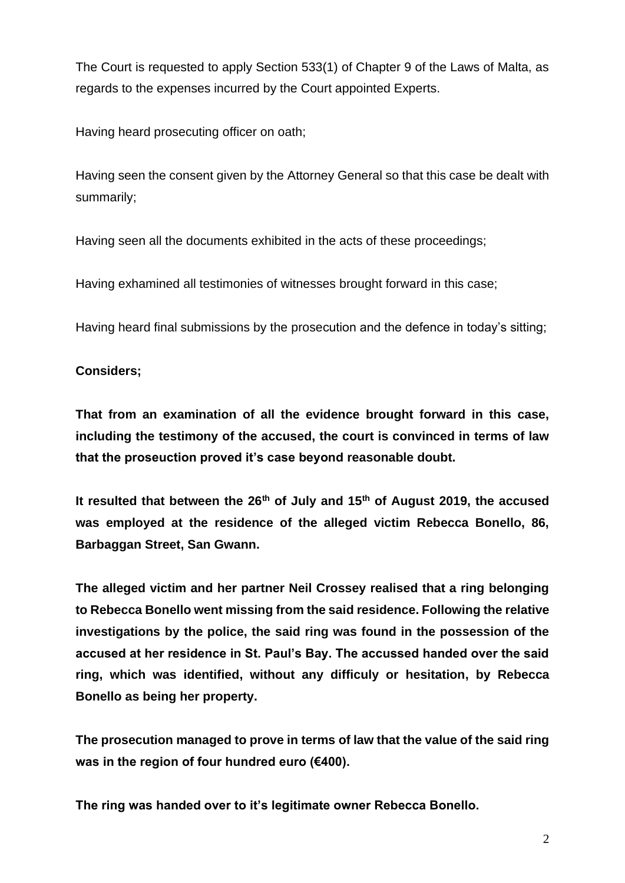The Court is requested to apply Section 533(1) of Chapter 9 of the Laws of Malta, as regards to the expenses incurred by the Court appointed Experts.

Having heard prosecuting officer on oath;

Having seen the consent given by the Attorney General so that this case be dealt with summarily;

Having seen all the documents exhibited in the acts of these proceedings;

Having exhamined all testimonies of witnesses brought forward in this case;

Having heard final submissions by the prosecution and the defence in today's sitting;

#### **Considers;**

**That from an examination of all the evidence brought forward in this case, including the testimony of the accused, the court is convinced in terms of law that the proseuction proved it's case beyond reasonable doubt.**

**It resulted that between the 26th of July and 15th of August 2019, the accused was employed at the residence of the alleged victim Rebecca Bonello, 86, Barbaggan Street, San Gwann.** 

**The alleged victim and her partner Neil Crossey realised that a ring belonging to Rebecca Bonello went missing from the said residence. Following the relative investigations by the police, the said ring was found in the possession of the accused at her residence in St. Paul's Bay. The accussed handed over the said ring, which was identified, without any difficuly or hesitation, by Rebecca Bonello as being her property.** 

**The prosecution managed to prove in terms of law that the value of the said ring was in the region of four hundred euro (€400).** 

**The ring was handed over to it's legitimate owner Rebecca Bonello.**